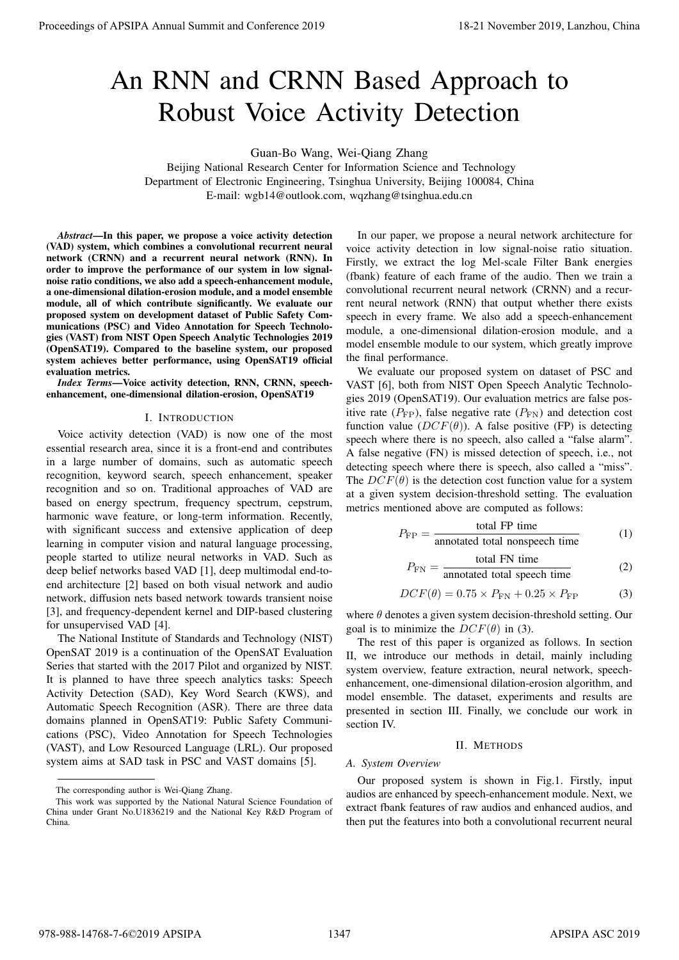# An RNN and CRNN Based Approach to Robust Voice Activity Detection

Guan-Bo Wang, Wei-Qiang Zhang

Beijing National Research Center for Information Science and Technology Department of Electronic Engineering, Tsinghua University, Beijing 100084, China E-mail: wgb14@outlook.com, wqzhang@tsinghua.edu.cn

*Abstract*—In this paper, we propose a voice activity detection (VAD) system, which combines a convolutional recurrent neural network (CRNN) and a recurrent neural network (RNN). In order to improve the performance of our system in low signalnoise ratio conditions, we also add a speech-enhancement module, a one-dimensional dilation-erosion module, and a model ensemble module, all of which contribute significantly. We evaluate our proposed system on development dataset of Public Safety Communications (PSC) and Video Annotation for Speech Technologies (VAST) from NIST Open Speech Analytic Technologies 2019 (OpenSAT19). Compared to the baseline system, our proposed system achieves better performance, using OpenSAT19 official evaluation metrics.

*Index Terms*—Voice activity detection, RNN, CRNN, speechenhancement, one-dimensional dilation-erosion, OpenSAT19

# I. INTRODUCTION

Voice activity detection (VAD) is now one of the most essential research area, since it is a front-end and contributes in a large number of domains, such as automatic speech recognition, keyword search, speech enhancement, speaker recognition and so on. Traditional approaches of VAD are based on energy spectrum, frequency spectrum, cepstrum, harmonic wave feature, or long-term information. Recently, with significant success and extensive application of deep learning in computer vision and natural language processing, people started to utilize neural networks in VAD. Such as deep belief networks based VAD [1], deep multimodal end-toend architecture [2] based on both visual network and audio network, diffusion nets based network towards transient noise [3], and frequency-dependent kernel and DIP-based clustering for unsupervised VAD [4]. **Proceedings of APSIPA Annual Summit and Centro-2019**<br> **Annual Summit and CENN Based Approach to the second summit and conference 2019**<br> **Annual Summit and CENN Based Approach to the second summit and conference 2019**<br> **E** 

The National Institute of Standards and Technology (NIST) OpenSAT 2019 is a continuation of the OpenSAT Evaluation Series that started with the 2017 Pilot and organized by NIST. It is planned to have three speech analytics tasks: Speech Activity Detection (SAD), Key Word Search (KWS), and Automatic Speech Recognition (ASR). There are three data domains planned in OpenSAT19: Public Safety Communications (PSC), Video Annotation for Speech Technologies (VAST), and Low Resourced Language (LRL). Our proposed system aims at SAD task in PSC and VAST domains [5].

In our paper, we propose a neural network architecture for voice activity detection in low signal-noise ratio situation. Firstly, we extract the log Mel-scale Filter Bank energies (fbank) feature of each frame of the audio. Then we train a convolutional recurrent neural network (CRNN) and a recurrent neural network (RNN) that output whether there exists speech in every frame. We also add a speech-enhancement module, a one-dimensional dilation-erosion module, and a model ensemble module to our system, which greatly improve the final performance.

We evaluate our proposed system on dataset of PSC and VAST [6], both from NIST Open Speech Analytic Technologies 2019 (OpenSAT19). Our evaluation metrics are false positive rate  $(P_{\text{FP}})$ , false negative rate  $(P_{\text{FN}})$  and detection cost function value  $(DCF(\theta))$ . A false positive (FP) is detecting speech where there is no speech, also called a "false alarm". A false negative (FN) is missed detection of speech, i.e., not detecting speech where there is speech, also called a "miss". The  $DCF(\theta)$  is the detection cost function value for a system at a given system decision-threshold setting. The evaluation metrics mentioned above are computed as follows:

$$
P_{\rm FP} = \frac{\text{total FP time}}{\text{annotated total nonspeech time}} \tag{1}
$$

$$
P_{\rm FN} = \frac{\text{total FN time}}{\text{annotated total speech time}} \tag{2}
$$

$$
DCF(\theta) = 0.75 \times P_{FN} + 0.25 \times P_{FP}
$$
 (3)

where  $\theta$  denotes a given system decision-threshold setting. Our goal is to minimize the  $DCF(\theta)$  in (3).

The rest of this paper is organized as follows. In section II, we introduce our methods in detail, mainly including system overview, feature extraction, neural network, speechenhancement, one-dimensional dilation-erosion algorithm, and model ensemble. The dataset, experiments and results are presented in section III. Finally, we conclude our work in section IV.

# II. METHODS

## *A. System Overview*

Our proposed system is shown in Fig.1. Firstly, input audios are enhanced by speech-enhancement module. Next, we extract fbank features of raw audios and enhanced audios, and then put the features into both a convolutional recurrent neural

The corresponding author is Wei-Qiang Zhang.

This work was supported by the National Natural Science Foundation of China under Grant No.U1836219 and the National Key R&D Program of China.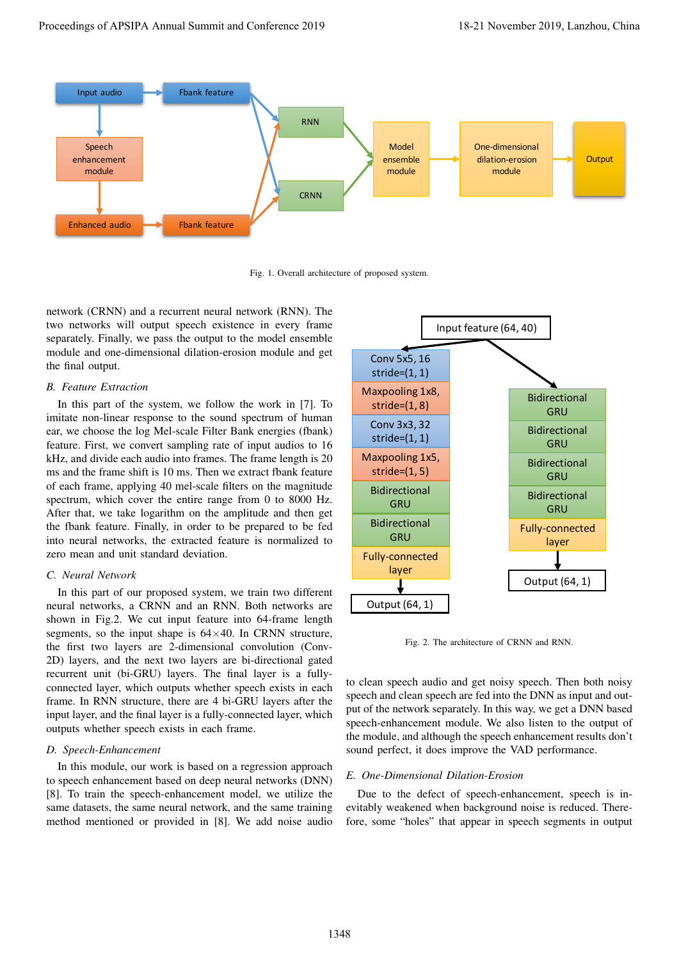

Fig. 1. Overall architecture of proposed system.

network (CRNN) and a recurrent neural network (RNN). The two networks will output speech existence in every frame separately. Finally, we pass the output to the model ensemble module and one-dimensional dilation-erosion module and get the final output.

# *B. Feature Extraction*

In this part of the system, we follow the work in [7]. To imitate non-linear response to the sound spectrum of human ear, we choose the log Mel-scale Filter Bank energies (fbank) feature. First, we convert sampling rate of input audios to 16 kHz, and divide each audio into frames. The frame length is 20 ms and the frame shift is 10 ms. Then we extract fbank feature of each frame, applying 40 mel-scale filters on the magnitude spectrum, which cover the entire range from 0 to 8000 Hz. After that, we take logarithm on the amplitude and then get the fbank feature. Finally, in order to be prepared to be fed into neural networks, the extracted feature is normalized to zero mean and unit standard deviation.

## *C. Neural Network*

In this part of our proposed system, we train two different neural networks, a CRNN and an RNN. Both networks are shown in Fig.2. We cut input feature into 64-frame length segments, so the input shape is  $64\times40$ . In CRNN structure, the first two layers are 2-dimensional convolution (Conv-2D) layers, and the next two layers are bi-directional gated recurrent unit (bi-GRU) layers. The final layer is a fullyconnected layer, which outputs whether speech exists in each frame. In RNN structure, there are 4 bi-GRU layers after the input layer, and the final layer is a fully-connected layer, which outputs whether speech exists in each frame.

# *D. Speech-Enhancement*

In this module, our work is based on a regression approach to speech enhancement based on deep neural networks (DNN) [8]. To train the speech-enhancement model, we utilize the same datasets, the same neural network, and the same training method mentioned or provided in [8]. We add noise audio



Fig. 2. The architecture of CRNN and RNN.

to clean speech audio and get noisy speech. Then both noisy speech and clean speech are fed into the DNN as input and output of the network separately. In this way, we get a DNN based speech-enhancement module. We also listen to the output of the module, and although the speech enhancement results don't sound perfect, it does improve the VAD performance.

# *E. One-Dimensional Dilation-Erosion*

Due to the defect of speech-enhancement, speech is inevitably weakened when background noise is reduced. Therefore, some "holes" that appear in speech segments in output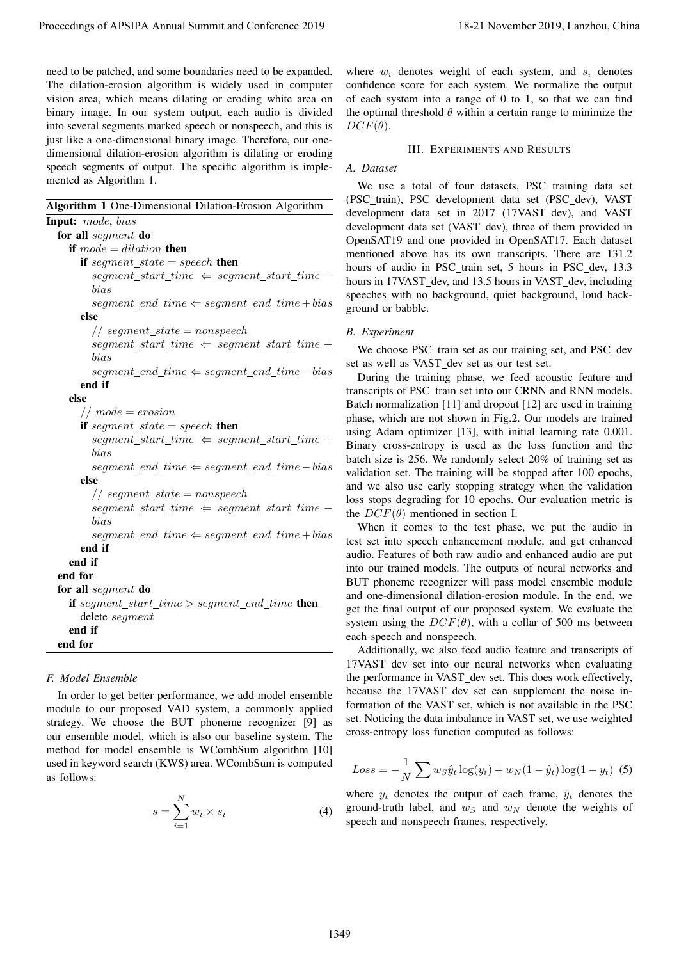need to be patched, and some boundaries need to be expanded. The dilation-erosion algorithm is widely used in computer vision area, which means dilating or eroding white area on binary image. In our system output, each audio is divided into several segments marked speech or nonspeech, and this is just like a one-dimensional binary image. Therefore, our onedimensional dilation-erosion algorithm is dilating or eroding speech segments of output. The specific algorithm is implemented as Algorithm 1.

Algorithm 1 One-Dimensional Dilation-Erosion Algorithm

Input: mode, bias for all segment do if  $mode = dilation$  then if segment state  $=$  speech then  $segment\_start\_time \Leftarrow segment\_start\_time$ bias  $segment\_end\_time \Leftarrow segment\_end\_time + bias$ else // segment\_state = nonspeech  $segment\_start\_time \Leftarrow segment\_start\_time +$ bias segment\_end\_time  $\Leftarrow$  segment\_end\_time – bias end if else  $// mode = erosion$ if segment\_state = speech then  $segment\_start\_time \Leftarrow segment\_start\_time +$ bias segment end time  $\Leftarrow$  segment end time – bias else // segment\_state = nonspeech  $segment\_start\_time \Leftarrow segment\_start\_time$ bias  $segment\_end\_time \Leftarrow segment\_end\_time + bias$ end if end if end for for all segment do if  $segment\_start\_time > segment\_end\_time$  then delete segment end if end for Proceedings of APSIPA Annual Summit at Conference 2019<br>
and Distribution that the conference and conference and conference 2019 18-21 November 2019 18-21 November 2019<br>
The distribution of the conference 2019 18-21 Novemb

# *F. Model Ensemble*

In order to get better performance, we add model ensemble module to our proposed VAD system, a commonly applied strategy. We choose the BUT phoneme recognizer [9] as our ensemble model, which is also our baseline system. The method for model ensemble is WCombSum algorithm [10] used in keyword search (KWS) area. WCombSum is computed as follows:

$$
s = \sum_{i=1}^{N} w_i \times s_i \tag{4}
$$

where  $w_i$  denotes weight of each system, and  $s_i$  denotes confidence score for each system. We normalize the output of each system into a range of 0 to 1, so that we can find the optimal threshold  $\theta$  within a certain range to minimize the  $DCF(\theta)$ .

## III. EXPERIMENTS AND RESULTS

## *A. Dataset*

We use a total of four datasets, PSC training data set (PSC\_train), PSC development data set (PSC\_dev), VAST development data set in 2017 (17VAST dev), and VAST development data set (VAST dev), three of them provided in OpenSAT19 and one provided in OpenSAT17. Each dataset mentioned above has its own transcripts. There are 131.2 hours of audio in PSC\_train set, 5 hours in PSC\_dev, 13.3 hours in 17VAST\_dev, and 13.5 hours in VAST\_dev, including speeches with no background, quiet background, loud background or babble.

## *B. Experiment*

We choose PSC\_train set as our training set, and PSC\_dev set as well as VAST dev set as our test set.

During the training phase, we feed acoustic feature and transcripts of PSC\_train set into our CRNN and RNN models. Batch normalization [11] and dropout [12] are used in training phase, which are not shown in Fig.2. Our models are trained using Adam optimizer [13], with initial learning rate 0.001. Binary cross-entropy is used as the loss function and the batch size is 256. We randomly select 20% of training set as validation set. The training will be stopped after 100 epochs, and we also use early stopping strategy when the validation loss stops degrading for 10 epochs. Our evaluation metric is the  $DCF(\theta)$  mentioned in section I.

When it comes to the test phase, we put the audio in test set into speech enhancement module, and get enhanced audio. Features of both raw audio and enhanced audio are put into our trained models. The outputs of neural networks and BUT phoneme recognizer will pass model ensemble module and one-dimensional dilation-erosion module. In the end, we get the final output of our proposed system. We evaluate the system using the  $DCF(\theta)$ , with a collar of 500 ms between each speech and nonspeech.

Additionally, we also feed audio feature and transcripts of 17VAST dev set into our neural networks when evaluating the performance in VAST\_dev set. This does work effectively, because the 17VAST dev set can supplement the noise information of the VAST set, which is not available in the PSC set. Noticing the data imbalance in VAST set, we use weighted cross-entropy loss function computed as follows:

$$
Loss = -\frac{1}{N} \sum w_S \hat{y}_t \log(y_t) + w_N (1 - \hat{y}_t) \log(1 - y_t)
$$
 (5)

where  $y_t$  denotes the output of each frame,  $\hat{y}_t$  denotes the ground-truth label, and  $w_S$  and  $w_N$  denote the weights of speech and nonspeech frames, respectively.